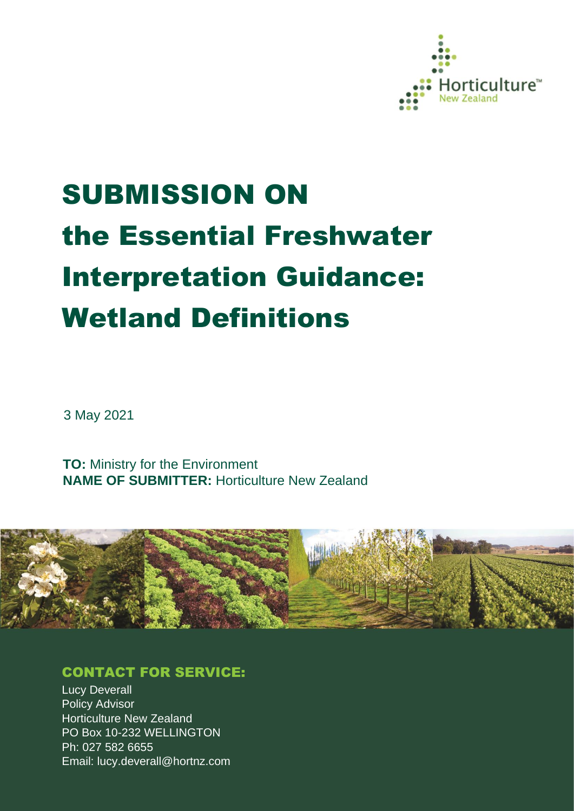

# SUBMISSION ON the Essential Freshwater Interpretation Guidance: Wetland Definitions

3 May 2021

**TO:** Ministry for the Environment **NAME OF SUBMITTER:** Horticulture New Zealand



### CONTACT FOR SERVICE:

**Lucy Deverall** Policy Advisor Horticulture New Zealand PO Box 10-232 WELLINGTON Ph: 027 582 6655 Email: lucy.deverall@hortnz.com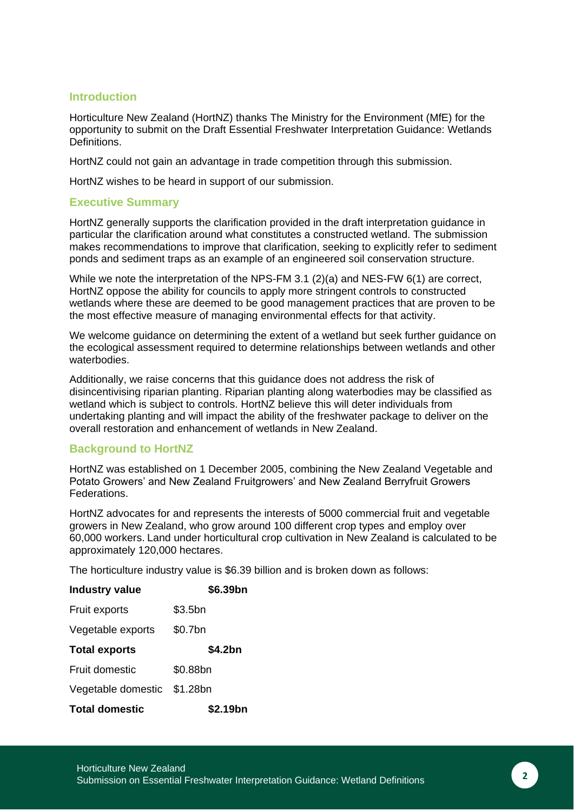#### **Introduction**

Horticulture New Zealand (HortNZ) thanks The Ministry for the Environment (MfE) for the opportunity to submit on the Draft Essential Freshwater Interpretation Guidance: Wetlands Definitions.

HortNZ could not gain an advantage in trade competition through this submission.

HortNZ wishes to be heard in support of our submission.

#### **Executive Summary**

HortNZ generally supports the clarification provided in the draft interpretation guidance in particular the clarification around what constitutes a constructed wetland. The submission makes recommendations to improve that clarification, seeking to explicitly refer to sediment ponds and sediment traps as an example of an engineered soil conservation structure.

While we note the interpretation of the NPS-FM 3.1 (2)(a) and NES-FW 6(1) are correct, HortNZ oppose the ability for councils to apply more stringent controls to constructed wetlands where these are deemed to be good management practices that are proven to be the most effective measure of managing environmental effects for that activity.

We welcome guidance on determining the extent of a wetland but seek further guidance on the ecological assessment required to determine relationships between wetlands and other waterbodies.

Additionally, we raise concerns that this guidance does not address the risk of disincentivising riparian planting. Riparian planting along waterbodies may be classified as wetland which is subject to controls. HortNZ believe this will deter individuals from undertaking planting and will impact the ability of the freshwater package to deliver on the overall restoration and enhancement of wetlands in New Zealand.

#### **Background to HortNZ**

HortNZ was established on 1 December 2005, combining the New Zealand Vegetable and Potato Growers' and New Zealand Fruitgrowers' and New Zealand Berryfruit Growers Federations.

HortNZ advocates for and represents the interests of 5000 commercial fruit and vegetable growers in New Zealand, who grow around 100 different crop types and employ over 60,000 workers. Land under horticultural crop cultivation in New Zealand is calculated to be approximately 120,000 hectares.

The horticulture industry value is \$6.39 billion and is broken down as follows:

| <b>Industry value</b> | \$6.39bn |
|-----------------------|----------|
| Fruit exports         | \$3.5bn  |
| Vegetable exports     | \$0.7bn  |
| <b>Total exports</b>  | \$4.2bn  |
| <b>Fruit domestic</b> | \$0.88bn |
| Vegetable domestic    | \$1.28bn |
| <b>Total domestic</b> | \$2.19bn |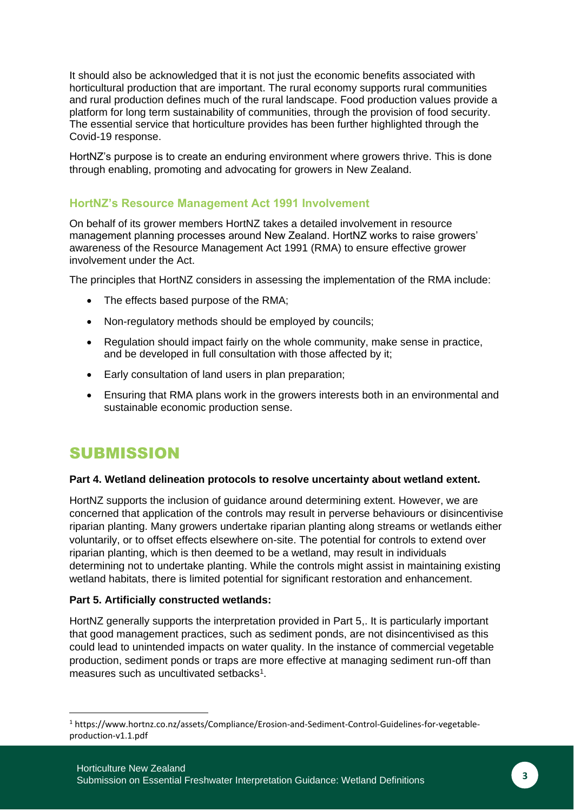It should also be acknowledged that it is not just the economic benefits associated with horticultural production that are important. The rural economy supports rural communities and rural production defines much of the rural landscape. Food production values provide a platform for long term sustainability of communities, through the provision of food security. The essential service that horticulture provides has been further highlighted through the Covid-19 response.

HortNZ's purpose is to create an enduring environment where growers thrive. This is done through enabling, promoting and advocating for growers in New Zealand.

#### **HortNZ's Resource Management Act 1991 Involvement**

On behalf of its grower members HortNZ takes a detailed involvement in resource management planning processes around New Zealand. HortNZ works to raise growers' awareness of the Resource Management Act 1991 (RMA) to ensure effective grower involvement under the Act.

The principles that HortNZ considers in assessing the implementation of the RMA include:

- The effects based purpose of the RMA:
- Non-regulatory methods should be employed by councils;
- Regulation should impact fairly on the whole community, make sense in practice, and be developed in full consultation with those affected by it;
- Early consultation of land users in plan preparation;
- Ensuring that RMA plans work in the growers interests both in an environmental and sustainable economic production sense.

## SUBMISSION

#### **Part 4. Wetland delineation protocols to resolve uncertainty about wetland extent.**

HortNZ supports the inclusion of guidance around determining extent. However, we are concerned that application of the controls may result in perverse behaviours or disincentivise riparian planting. Many growers undertake riparian planting along streams or wetlands either voluntarily, or to offset effects elsewhere on-site. The potential for controls to extend over riparian planting, which is then deemed to be a wetland, may result in individuals determining not to undertake planting. While the controls might assist in maintaining existing wetland habitats, there is limited potential for significant restoration and enhancement.

#### **Part 5. Artificially constructed wetlands:**

HortNZ generally supports the interpretation provided in Part 5,. It is particularly important that good management practices, such as sediment ponds, are not disincentivised as this could lead to unintended impacts on water quality. In the instance of commercial vegetable production, sediment ponds or traps are more effective at managing sediment run-off than measures such as uncultivated setbacks<sup>1</sup>.

<sup>1</sup> https://www.hortnz.co.nz/assets/Compliance/Erosion-and-Sediment-Control-Guidelines-for-vegetableproduction-v1.1.pdf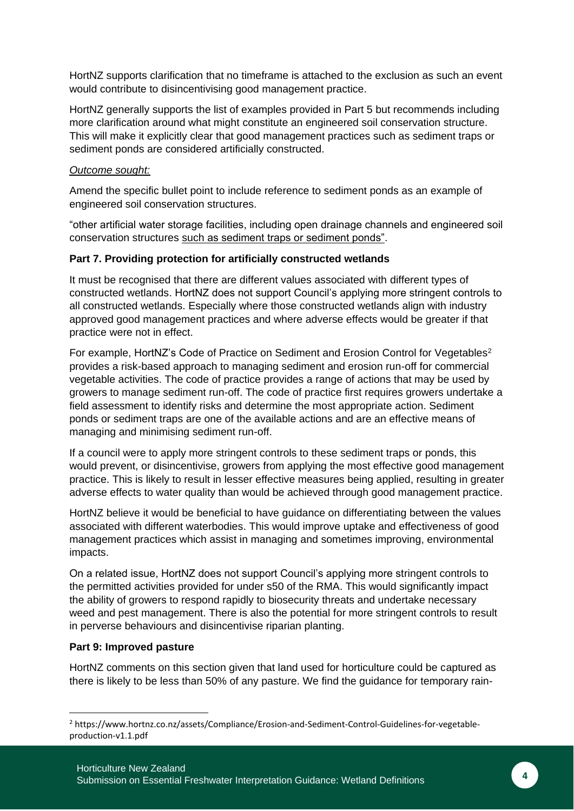HortNZ supports clarification that no timeframe is attached to the exclusion as such an event would contribute to disincentivising good management practice.

HortNZ generally supports the list of examples provided in Part 5 but recommends including more clarification around what might constitute an engineered soil conservation structure. This will make it explicitly clear that good management practices such as sediment traps or sediment ponds are considered artificially constructed.

#### *Outcome sought:*

Amend the specific bullet point to include reference to sediment ponds as an example of engineered soil conservation structures.

"other artificial water storage facilities, including open drainage channels and engineered soil conservation structures such as sediment traps or sediment ponds".

#### **Part 7. Providing protection for artificially constructed wetlands**

It must be recognised that there are different values associated with different types of constructed wetlands. HortNZ does not support Council's applying more stringent controls to all constructed wetlands. Especially where those constructed wetlands align with industry approved good management practices and where adverse effects would be greater if that practice were not in effect.

For example, HortNZ's Code of Practice on Sediment and Erosion Control for Vegetables<sup>2</sup> provides a risk-based approach to managing sediment and erosion run-off for commercial vegetable activities. The code of practice provides a range of actions that may be used by growers to manage sediment run-off. The code of practice first requires growers undertake a field assessment to identify risks and determine the most appropriate action. Sediment ponds or sediment traps are one of the available actions and are an effective means of managing and minimising sediment run-off.

If a council were to apply more stringent controls to these sediment traps or ponds, this would prevent, or disincentivise, growers from applying the most effective good management practice. This is likely to result in lesser effective measures being applied, resulting in greater adverse effects to water quality than would be achieved through good management practice.

HortNZ believe it would be beneficial to have guidance on differentiating between the values associated with different waterbodies. This would improve uptake and effectiveness of good management practices which assist in managing and sometimes improving, environmental impacts.

On a related issue, HortNZ does not support Council's applying more stringent controls to the permitted activities provided for under s50 of the RMA. This would significantly impact the ability of growers to respond rapidly to biosecurity threats and undertake necessary weed and pest management. There is also the potential for more stringent controls to result in perverse behaviours and disincentivise riparian planting.

#### **Part 9: Improved pasture**

HortNZ comments on this section given that land used for horticulture could be captured as there is likely to be less than 50% of any pasture. We find the guidance for temporary rain-

<sup>2</sup> https://www.hortnz.co.nz/assets/Compliance/Erosion-and-Sediment-Control-Guidelines-for-vegetableproduction-v1.1.pdf